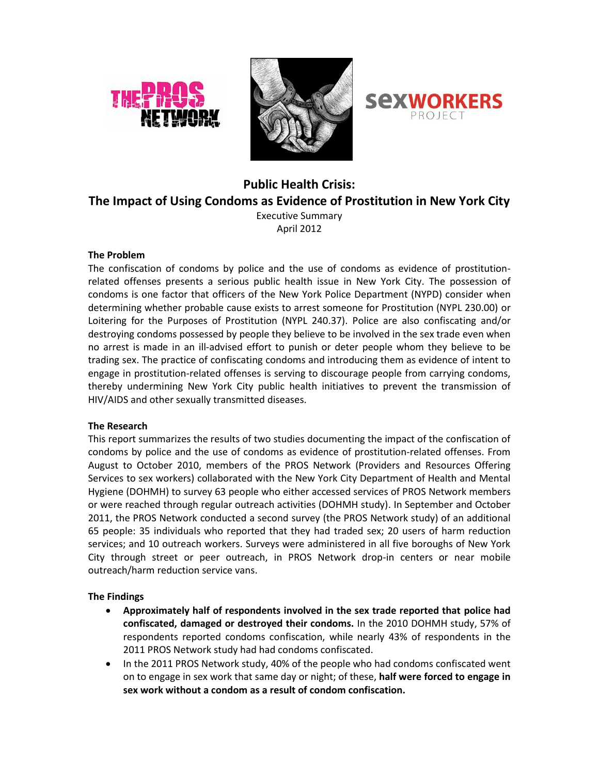





# **Public Health Crisis: The Impact of Using Condoms as Evidence of Prostitution in New York City**

Executive Summary April 2012

# **The Problem**

The confiscation of condoms by police and the use of condoms as evidence of prostitutionrelated offenses presents a serious public health issue in New York City. The possession of condoms is one factor that officers of the New York Police Department (NYPD) consider when determining whether probable cause exists to arrest someone for Prostitution (NYPL 230.00) or Loitering for the Purposes of Prostitution (NYPL 240.37). Police are also confiscating and/or destroying condoms possessed by people they believe to be involved in the sex trade even when no arrest is made in an ill-advised effort to punish or deter people whom they believe to be trading sex. The practice of confiscating condoms and introducing them as evidence of intent to engage in prostitution-related offenses is serving to discourage people from carrying condoms, thereby undermining New York City public health initiatives to prevent the transmission of HIV/AIDS and other sexually transmitted diseases.

# **The Research**

This report summarizes the results of two studies documenting the impact of the confiscation of condoms by police and the use of condoms as evidence of prostitution-related offenses. From August to October 2010, members of the PROS Network (Providers and Resources Offering Services to sex workers) collaborated with the New York City Department of Health and Mental Hygiene (DOHMH) to survey 63 people who either accessed services of PROS Network members or were reached through regular outreach activities (DOHMH study). In September and October 2011, the PROS Network conducted a second survey (the PROS Network study) of an additional 65 people: 35 individuals who reported that they had traded sex; 20 users of harm reduction services; and 10 outreach workers. Surveys were administered in all five boroughs of New York City through street or peer outreach, in PROS Network drop-in centers or near mobile outreach/harm reduction service vans.

# **The Findings**

- **Approximately half of respondents involved in the sex trade reported that police had confiscated, damaged or destroyed their condoms.** In the 2010 DOHMH study, 57% of respondents reported condoms confiscation, while nearly 43% of respondents in the 2011 PROS Network study had had condoms confiscated.
- In the 2011 PROS Network study, 40% of the people who had condoms confiscated went on to engage in sex work that same day or night; of these, **half were forced to engage in sex work without a condom as a result of condom confiscation.**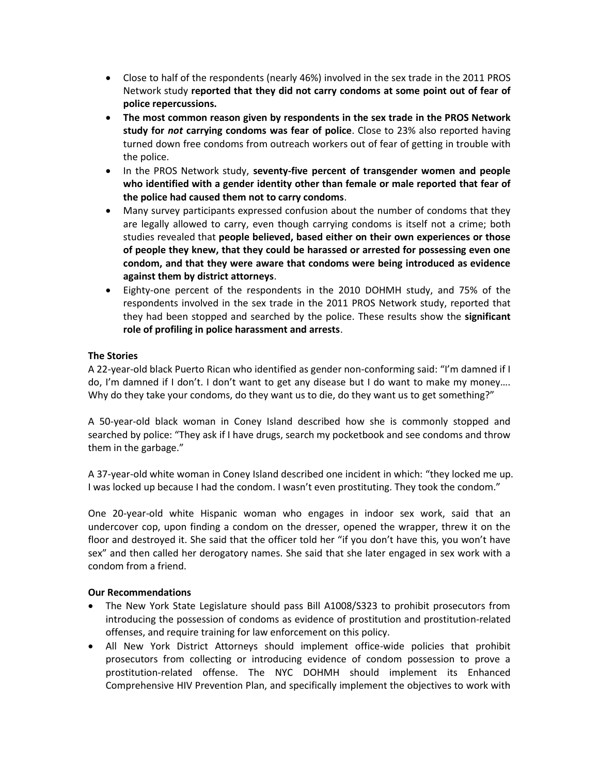- Close to half of the respondents (nearly 46%) involved in the sex trade in the 2011 PROS Network study **reported that they did not carry condoms at some point out of fear of police repercussions.**
- **The most common reason given by respondents in the sex trade in the PROS Network study for** *not* **carrying condoms was fear of police**. Close to 23% also reported having turned down free condoms from outreach workers out of fear of getting in trouble with the police.
- In the PROS Network study, **seventy-five percent of transgender women and people who identified with a gender identity other than female or male reported that fear of the police had caused them not to carry condoms**.
- Many survey participants expressed confusion about the number of condoms that they are legally allowed to carry, even though carrying condoms is itself not a crime; both studies revealed that **people believed, based either on their own experiences or those of people they knew, that they could be harassed or arrested for possessing even one condom, and that they were aware that condoms were being introduced as evidence against them by district attorneys**.
- Eighty-one percent of the respondents in the 2010 DOHMH study, and 75% of the respondents involved in the sex trade in the 2011 PROS Network study, reported that they had been stopped and searched by the police. These results show the **significant role of profiling in police harassment and arrests**.

# **The Stories**

A 22-year-old black Puerto Rican who identified as gender non-conforming said: "I'm damned if I do, I'm damned if I don't. I don't want to get any disease but I do want to make my money…. Why do they take your condoms, do they want us to die, do they want us to get something?"

A 50-year-old black woman in Coney Island described how she is commonly stopped and searched by police: "They ask if I have drugs, search my pocketbook and see condoms and throw them in the garbage."

A 37-year-old white woman in Coney Island described one incident in which: "they locked me up. I was locked up because I had the condom. I wasn't even prostituting. They took the condom."

One 20-year-old white Hispanic woman who engages in indoor sex work, said that an undercover cop, upon finding a condom on the dresser, opened the wrapper, threw it on the floor and destroyed it. She said that the officer told her "if you don't have this, you won't have sex" and then called her derogatory names. She said that she later engaged in sex work with a condom from a friend.

# **Our Recommendations**

- The New York State Legislature should pass Bill A1008/S323 to prohibit prosecutors from introducing the possession of condoms as evidence of prostitution and prostitution-related offenses, and require training for law enforcement on this policy.
- All New York District Attorneys should implement office-wide policies that prohibit prosecutors from collecting or introducing evidence of condom possession to prove a prostitution-related offense. The NYC DOHMH should implement its Enhanced Comprehensive HIV Prevention Plan, and specifically implement the objectives to work with